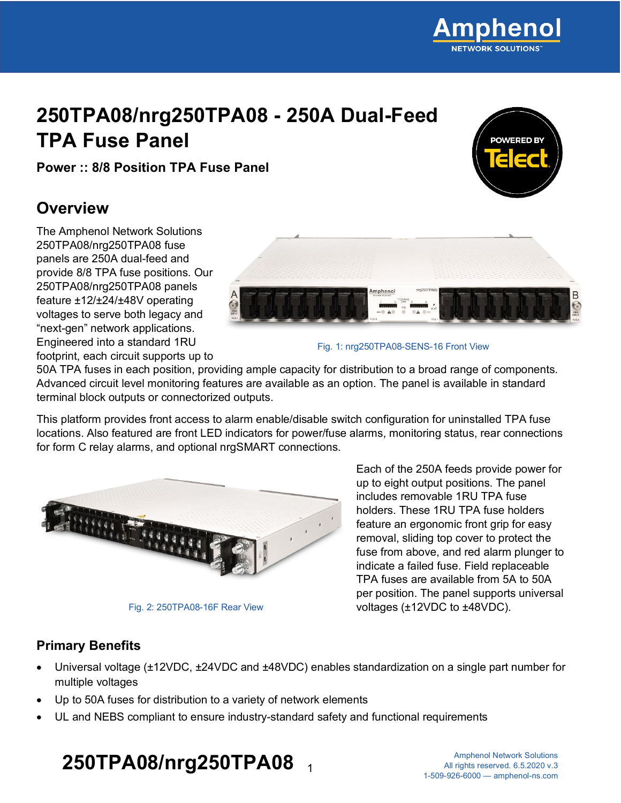### **250TPA08/nrg250TPA08 - 250A Dual-Feed TPA Fuse Panel**

**Power :: 8/8 Position TPA Fuse Panel**

### **Overview**

The Amphenol Network Solutions 250TPA08/nrg250TPA08 fuse panels are 250A dual-feed and provide 8/8 TPA fuse positions. Our 250TPA08/nrg250TPA08 panels feature ±12/±24/±48V operating voltages to serve both legacy and "next-gen" network applications. Engineered into a standard 1RU footprint, each circuit supports up to

Fig. 1: nrg250TPA08-SENS-16 Front View

50A TPA fuses in each position, providing ample capacity for distribution to a broad range of components. Advanced circuit level monitoring features are available as an option. The panel is available in standard terminal block outputs or connectorized outputs.

This platform provides front access to alarm enable/disable switch configuration for uninstalled TPA fuse locations. Also featured are front LED indicators for power/fuse alarms, monitoring status, rear connections for form C relay alarms, and optional nrgSMART connections.



Fig. 2: 250TPA08-16F Rear View

Each of the 250A feeds provide power for up to eight output positions. The panel includes removable 1RU TPA fuse holders. These 1RU TPA fuse holders feature an ergonomic front grip for easy removal, sliding top cover to protect the fuse from above, and red alarm plunger to indicate a failed fuse. Field replaceable TPA fuses are available from 5A to 50A per position. The panel supports universal voltages (±12VDC to ±48VDC).

#### **Primary Benefits**

- Universal voltage (±12VDC, ±24VDC and ±48VDC) enables standardization on a single part number for multiple voltages
- Up to 50A fuses for distribution to a variety of network elements
- UL and NEBS compliant to ensure industry-standard safety and functional requirements

# **250TPA08/nrg250TPA08** <sup>1</sup>



**OWEDED B**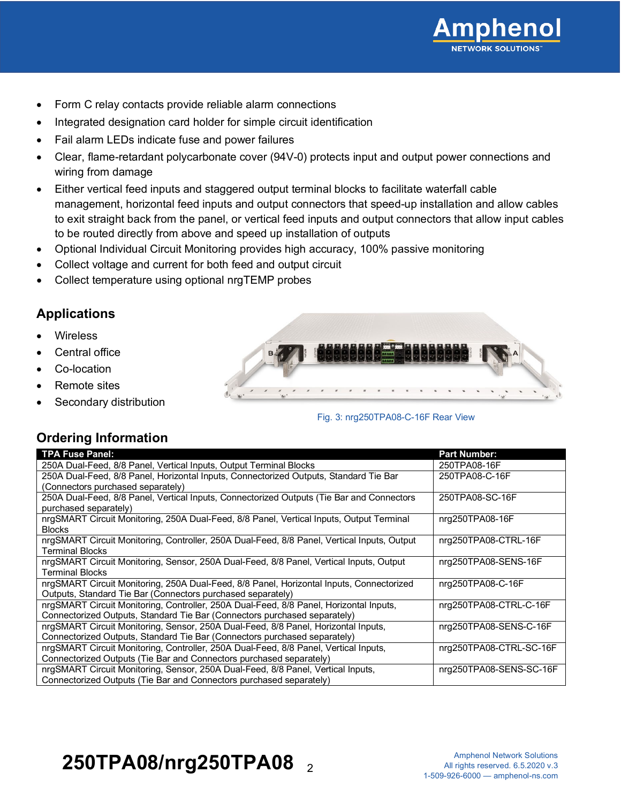

- Form C relay contacts provide reliable alarm connections
- Integrated designation card holder for simple circuit identification
- Fail alarm LEDs indicate fuse and power failures
- Clear, flame-retardant polycarbonate cover (94V-0) protects input and output power connections and wiring from damage
- Either vertical feed inputs and staggered output terminal blocks to facilitate waterfall cable management, horizontal feed inputs and output connectors that speed-up installation and allow cables to exit straight back from the panel, or vertical feed inputs and output connectors that allow input cables to be routed directly from above and speed up installation of outputs
- Optional Individual Circuit Monitoring provides high accuracy, 100% passive monitoring
- Collect voltage and current for both feed and output circuit
- Collect temperature using optional nrgTEMP probes

#### **Applications**

- **Wireless**
- Central office
- Co-location
- Remote sites
- Secondary distribution



Fig. 3: nrg250TPA08-C-16F Rear View

#### **Ordering Information**

| TPA Fuse Panel:                                                                             | <b>Part Number:</b>     |
|---------------------------------------------------------------------------------------------|-------------------------|
| 250A Dual-Feed, 8/8 Panel, Vertical Inputs, Output Terminal Blocks                          | 250TPA08-16F            |
| 250A Dual-Feed, 8/8 Panel, Horizontal Inputs, Connectorized Outputs, Standard Tie Bar       | 250TPA08-C-16F          |
| (Connectors purchased separately)                                                           |                         |
| 250A Dual-Feed, 8/8 Panel, Vertical Inputs, Connectorized Outputs (Tie Bar and Connectors   | 250TPA08-SC-16F         |
| purchased separately)                                                                       |                         |
| nrgSMART Circuit Monitoring, 250A Dual-Feed, 8/8 Panel, Vertical Inputs, Output Terminal    | nrg250TPA08-16F         |
| <b>Blocks</b>                                                                               |                         |
| nrgSMART Circuit Monitoring, Controller, 250A Dual-Feed, 8/8 Panel, Vertical Inputs, Output | nrg250TPA08-CTRL-16F    |
| <b>Terminal Blocks</b>                                                                      |                         |
| nrgSMART Circuit Monitoring, Sensor, 250A Dual-Feed, 8/8 Panel, Vertical Inputs, Output     | nrg250TPA08-SENS-16F    |
| <b>Terminal Blocks</b>                                                                      |                         |
| nrgSMART Circuit Monitoring, 250A Dual-Feed, 8/8 Panel, Horizontal Inputs, Connectorized    | nrg250TPA08-C-16F       |
| Outputs, Standard Tie Bar (Connectors purchased separately)                                 |                         |
| nrgSMART Circuit Monitoring, Controller, 250A Dual-Feed, 8/8 Panel, Horizontal Inputs,      | nrq250TPA08-CTRL-C-16F  |
| Connectorized Outputs, Standard Tie Bar (Connectors purchased separately)                   |                         |
| nrgSMART Circuit Monitoring, Sensor, 250A Dual-Feed, 8/8 Panel, Horizontal Inputs,          | nrg250TPA08-SENS-C-16F  |
| Connectorized Outputs, Standard Tie Bar (Connectors purchased separately)                   |                         |
| nrgSMART Circuit Monitoring, Controller, 250A Dual-Feed, 8/8 Panel, Vertical Inputs,        | nrg250TPA08-CTRL-SC-16F |
| Connectorized Outputs (Tie Bar and Connectors purchased separately)                         |                         |
| nrgSMART Circuit Monitoring, Sensor, 250A Dual-Feed, 8/8 Panel, Vertical Inputs,            | nrg250TPA08-SENS-SC-16F |
| Connectorized Outputs (Tie Bar and Connectors purchased separately)                         |                         |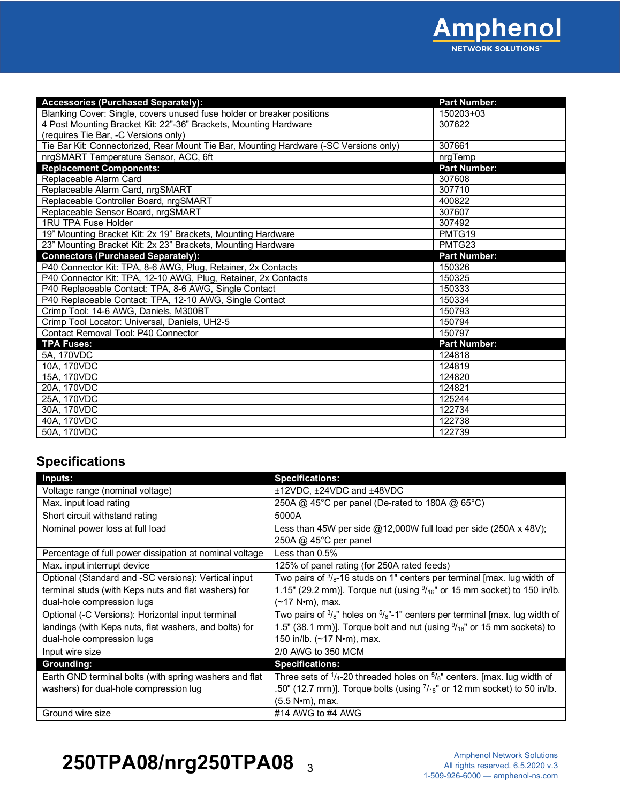

| <b>Accessories (Purchased Separately):</b>                                            | <b>Part Number:</b> |
|---------------------------------------------------------------------------------------|---------------------|
| Blanking Cover: Single, covers unused fuse holder or breaker positions                | 150203+03           |
| 4 Post Mounting Bracket Kit: 22"-36" Brackets, Mounting Hardware                      | 307622              |
| (requires Tie Bar, -C Versions only)                                                  |                     |
| Tie Bar Kit: Connectorized, Rear Mount Tie Bar, Mounting Hardware (-SC Versions only) | 307661              |
| nrgSMART Temperature Sensor, ACC, 6ft                                                 | nrgTemp             |
| <b>Replacement Components:</b>                                                        | <b>Part Number:</b> |
| Replaceable Alarm Card                                                                | 307608              |
| Replaceable Alarm Card, nrgSMART                                                      | 307710              |
| Replaceable Controller Board, nrgSMART                                                | 400822              |
| Replaceable Sensor Board, nrgSMART                                                    | 307607              |
| 1RU TPA Fuse Holder                                                                   | 307492              |
| 19" Mounting Bracket Kit: 2x 19" Brackets, Mounting Hardware                          | PMTG19              |
| 23" Mounting Bracket Kit: 2x 23" Brackets, Mounting Hardware                          | PMTG23              |
| <b>Connectors (Purchased Separately):</b>                                             | <b>Part Number:</b> |
| P40 Connector Kit: TPA, 8-6 AWG, Plug, Retainer, 2x Contacts                          | 150326              |
| P40 Connector Kit: TPA, 12-10 AWG, Plug, Retainer, 2x Contacts                        | 150325              |
| P40 Replaceable Contact: TPA, 8-6 AWG, Single Contact                                 | 150333              |
| P40 Replaceable Contact: TPA, 12-10 AWG, Single Contact                               | 150334              |
| Crimp Tool: 14-6 AWG, Daniels, M300BT                                                 | 150793              |
| Crimp Tool Locator: Universal, Daniels, UH2-5                                         | 150794              |
| Contact Removal Tool: P40 Connector                                                   | 150797              |
| <b>TPA Fuses:</b>                                                                     | <b>Part Number:</b> |
| 5A, 170VDC                                                                            | 124818              |
| 10A. 170VDC                                                                           | 124819              |
| 15A, 170VDC                                                                           | 124820              |
| 20A, 170VDC                                                                           | 124821              |
| 25A. 170VDC                                                                           | 125244              |
| 30A, 170VDC                                                                           | 122734              |
| 40A. 170VDC                                                                           | 122738              |
| 50A, 170VDC                                                                           | 122739              |

### **Specifications**

| Inputs:                                                 | <b>Specifications:</b>                                                                           |
|---------------------------------------------------------|--------------------------------------------------------------------------------------------------|
| Voltage range (nominal voltage)                         | ±12VDC, ±24VDC and ±48VDC                                                                        |
| Max. input load rating                                  | 250A @ 45°C per panel (De-rated to 180A @ 65°C)                                                  |
| Short circuit withstand rating                          | 5000A                                                                                            |
| Nominal power loss at full load                         | Less than 45W per side $@12,000W$ full load per side (250A x 48V);                               |
|                                                         | 250A @ 45°C per panel                                                                            |
| Percentage of full power dissipation at nominal voltage | Less than $0.5\%$                                                                                |
| Max. input interrupt device                             | 125% of panel rating (for 250A rated feeds)                                                      |
| Optional (Standard and -SC versions): Vertical input    | Two pairs of $\frac{3}{8}$ -16 studs on 1" centers per terminal [max. lug width of               |
| terminal studs (with Keps nuts and flat washers) for    | 1.15" (29.2 mm)]. Torque nut (using $\frac{9}{16}$ " or 15 mm socket) to 150 in/lb.              |
| dual-hole compression lugs                              | (∼17 N•m), max.                                                                                  |
| Optional (-C Versions): Horizontal input terminal       | Two pairs of $\frac{3}{8}$ " holes on $\frac{5}{8}$ "-1" centers per terminal [max. lug width of |
| landings (with Keps nuts, flat washers, and bolts) for  | 1.5" (38.1 mm)]. Torque bolt and nut (using $\frac{9}{16}$ " or 15 mm sockets) to                |
| dual-hole compression lugs                              | 150 in/lb. (~17 N•m), max.                                                                       |
| Input wire size                                         | 2/0 AWG to 350 MCM                                                                               |
| Grounding:                                              | <b>Specifications:</b>                                                                           |
| Earth GND terminal bolts (with spring washers and flat  | Three sets of $\frac{1}{4}$ -20 threaded holes on $\frac{5}{8}$ " centers. [max. lug width of    |
| washers) for dual-hole compression lug                  | .50" (12.7 mm)]. Torque bolts (using $7/_{16}$ " or 12 mm socket) to 50 in/lb.                   |
|                                                         | (5.5 N•m), max.                                                                                  |
| Ground wire size                                        | #14 AWG to #4 AWG                                                                                |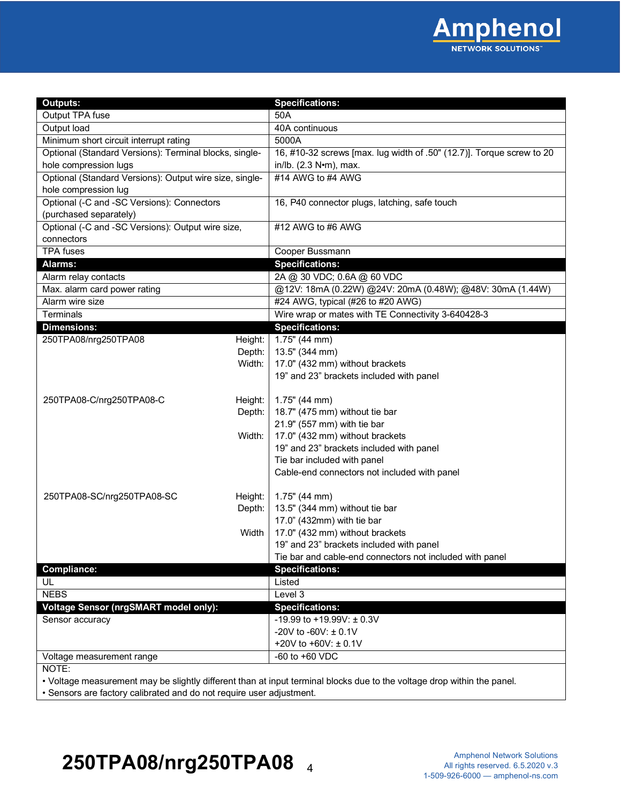

| <b>Outputs:</b>                                         |         | <b>Specifications:</b>                                                |
|---------------------------------------------------------|---------|-----------------------------------------------------------------------|
| Output TPA fuse                                         |         | 50A                                                                   |
| Output load                                             |         | 40A continuous                                                        |
| Minimum short circuit interrupt rating                  |         | 5000A                                                                 |
| Optional (Standard Versions): Terminal blocks, single-  |         | 16, #10-32 screws [max. lug width of .50" (12.7)]. Torque screw to 20 |
| hole compression lugs                                   |         | in/lb. (2.3 N•m), max.                                                |
| Optional (Standard Versions): Output wire size, single- |         | #14 AWG to #4 AWG                                                     |
| hole compression lug                                    |         |                                                                       |
| Optional (-C and -SC Versions): Connectors              |         | 16, P40 connector plugs, latching, safe touch                         |
| (purchased separately)                                  |         |                                                                       |
| Optional (-C and -SC Versions): Output wire size,       |         | #12 AWG to #6 AWG                                                     |
| connectors                                              |         |                                                                       |
| <b>TPA</b> fuses                                        |         | Cooper Bussmann                                                       |
| Alarms:                                                 |         | <b>Specifications:</b>                                                |
| Alarm relay contacts                                    |         | 2A @ 30 VDC; 0.6A @ 60 VDC                                            |
| Max. alarm card power rating                            |         | @12V: 18mA (0.22W) @24V: 20mA (0.48W); @48V: 30mA (1.44W)             |
| Alarm wire size                                         |         | #24 AWG, typical (#26 to #20 AWG)                                     |
| Terminals                                               |         | Wire wrap or mates with TE Connectivity 3-640428-3                    |
| <b>Dimensions:</b>                                      |         | <b>Specifications:</b>                                                |
| 250TPA08/nrg250TPA08                                    | Height: | $1.75$ " (44 mm)                                                      |
|                                                         | Depth:  | 13.5" (344 mm)                                                        |
|                                                         | Width:  | 17.0" (432 mm) without brackets                                       |
|                                                         |         | 19" and 23" brackets included with panel                              |
|                                                         |         |                                                                       |
| 250TPA08-C/nrg250TPA08-C                                | Height: | $1.75$ " (44 mm)                                                      |
|                                                         | Depth:  | 18.7" (475 mm) without tie bar                                        |
|                                                         |         | 21.9" (557 mm) with tie bar                                           |
|                                                         | Width:  | 17.0" (432 mm) without brackets                                       |
|                                                         |         | 19" and 23" brackets included with panel                              |
|                                                         |         | Tie bar included with panel                                           |
|                                                         |         | Cable-end connectors not included with panel                          |
|                                                         |         |                                                                       |
| 250TPA08-SC/nrg250TPA08-SC                              | Height: | $1.75$ " (44 mm)                                                      |
|                                                         | Depth:  | 13.5" (344 mm) without tie bar                                        |
|                                                         |         | 17.0" (432mm) with tie bar                                            |
|                                                         | Width   | 17.0" (432 mm) without brackets                                       |
|                                                         |         | 19" and 23" brackets included with panel                              |
|                                                         |         | Tie bar and cable-end connectors not included with panel              |
| <b>Compliance:</b>                                      |         | <b>Specifications:</b>                                                |
| UL                                                      |         | Listed                                                                |
| <b>NEBS</b>                                             |         | Level 3                                                               |
| <b>Voltage Sensor (nrgSMART model only):</b>            |         | <b>Specifications:</b>                                                |
| Sensor accuracy                                         |         | -19.99 to +19.99V: $\pm$ 0.3V                                         |
|                                                         |         | -20V to -60V: $\pm$ 0.1V                                              |
|                                                         |         | +20V to +60V: ± 0.1V                                                  |
| Voltage measurement range                               |         | -60 to +60 VDC                                                        |
| NOTE:                                                   |         |                                                                       |
|                                                         |         |                                                                       |

• Voltage measurement may be slightly different than at input terminal blocks due to the voltage drop within the panel.

• Sensors are factory calibrated and do not require user adjustment.